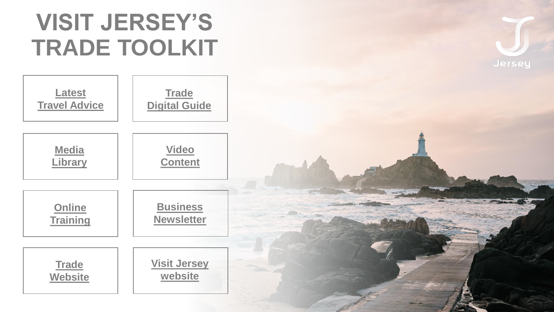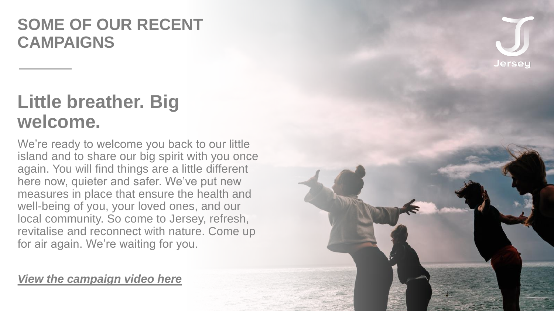### **SOME OF OUR RECENT CAMPAIGNS**

## **Little breather. Big welcome.**

We're ready to welcome you back to our little island and to share our big spirit with you once again. You will find things are a little different here now, quieter and safer. We've put new measures in place that ensure the health and well-being of you, your loved ones, and our local community. So come to Jersey, refresh, revitalise and reconnect with nature. Come up for air again. We're waiting for you.

#### *[View the campaign video here](https://youtu.be/IATf1PeOinI)*

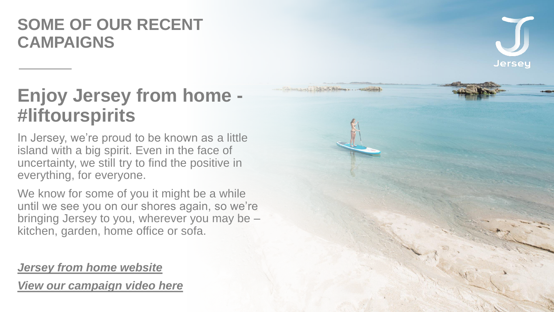## **SOME OF OUR RECENT CAMPAIGNS**



## **Enjoy Jersey from home - #liftourspirits**

In Jersey, we're proud to be known as a little island with a big spirit. Even in the face of uncertainty, we still try to find the positive in everything, for everyone.

We know for some of you it might be a while until we see you on our shores again, so we're bringing Jersey to you, wherever you may be – kitchen, garden, home office or sofa.

*[Jersey from home website](https://www.jersey.com/enjoy-jersey-home) [View our campaign video here](https://www.youtube.com/watch?v=oQXSPqHCO4s)*